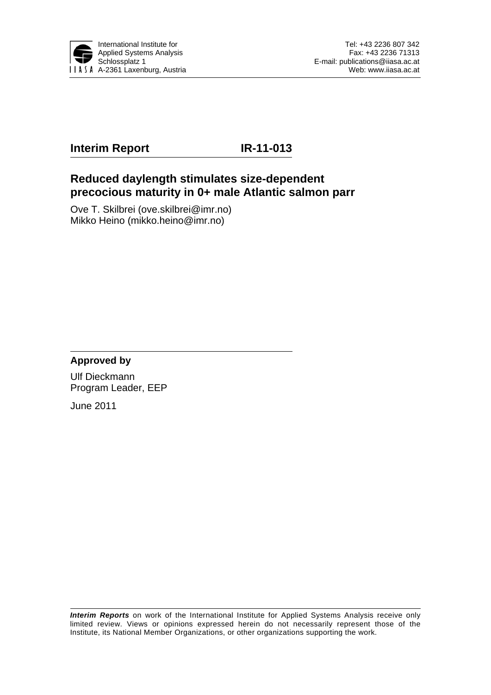

# **Interim Report IR-11-013**

## **Reduced daylength stimulates size-dependent precocious maturity in 0+ male Atlantic salmon parr**

Ove T. Skilbrei (ove.skilbrei@imr.no) Mikko Heino (mikko.heino@imr.no)

## **Approved by**

Ulf Dieckmann Program Leader, EEP

June 2011

*Interim Reports* on work of the International Institute for Applied Systems Analysis receive only limited review. Views or opinions expressed herein do not necessarily represent those of the Institute, its National Member Organizations, or other organizations supporting the work.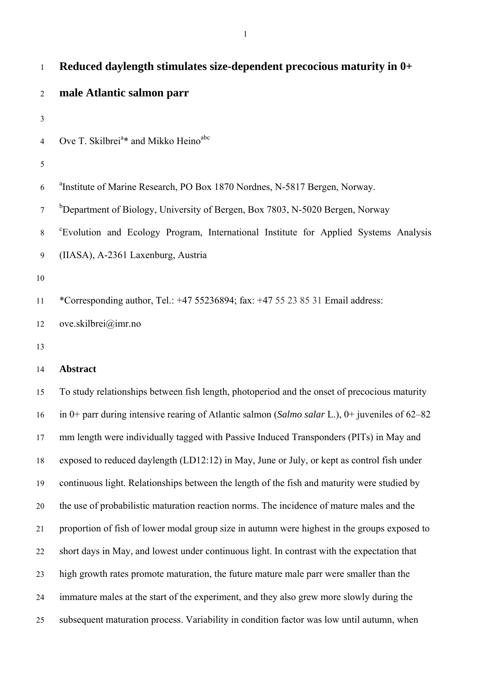| $\mathbf{1}$   | Reduced daylength stimulates size-dependent precocious maturity in 0+                            |  |  |  |  |  |  |
|----------------|--------------------------------------------------------------------------------------------------|--|--|--|--|--|--|
| $\overline{2}$ | male Atlantic salmon parr                                                                        |  |  |  |  |  |  |
| $\mathfrak{Z}$ |                                                                                                  |  |  |  |  |  |  |
| $\overline{4}$ | Ove T. Skilbrei <sup>a*</sup> and Mikko Heino <sup>abc</sup>                                     |  |  |  |  |  |  |
| 5              |                                                                                                  |  |  |  |  |  |  |
| 6              | <sup>a</sup> Institute of Marine Research, PO Box 1870 Nordnes, N-5817 Bergen, Norway.           |  |  |  |  |  |  |
| $\tau$         | <sup>b</sup> Department of Biology, University of Bergen, Box 7803, N-5020 Bergen, Norway        |  |  |  |  |  |  |
| $8\,$          | "Evolution and Ecology Program, International Institute for Applied Systems Analysis             |  |  |  |  |  |  |
| 9              | (IIASA), A-2361 Laxenburg, Austria                                                               |  |  |  |  |  |  |
| $10\,$         |                                                                                                  |  |  |  |  |  |  |
| 11             | *Corresponding author, Tel.: $+47$ 55236894; fax: $+47$ 55 23 85 31 Email address:               |  |  |  |  |  |  |
| 12             | ove.skilbrei@imr.no                                                                              |  |  |  |  |  |  |
| 13             |                                                                                                  |  |  |  |  |  |  |
| 14             | <b>Abstract</b>                                                                                  |  |  |  |  |  |  |
| 15             | To study relationships between fish length, photoperiod and the onset of precocious maturity     |  |  |  |  |  |  |
| 16             | in 0+ parr during intensive rearing of Atlantic salmon (Salmo salar L.), 0+ juveniles of $62-82$ |  |  |  |  |  |  |

17 mm length were individually tagged with Passive Induced Transponders (PITs) in May and

19 continuous light. Relationships between the length of the fish and maturity were studied by

18 exposed to reduced daylength (LD12:12) in May, June or July, or kept as control fish under

20 the use of probabilistic maturation reaction norms. The incidence of mature males and the

21 proportion of fish of lower modal group size in autumn were highest in the groups exposed to

22 short days in May, and lowest under continuous light. In contrast with the expectation that

23 high growth rates promote maturation, the future mature male parr were smaller than the

24 immature males at the start of the experiment, and they also grew more slowly during the

25 subsequent maturation process. Variability in condition factor was low until autumn, when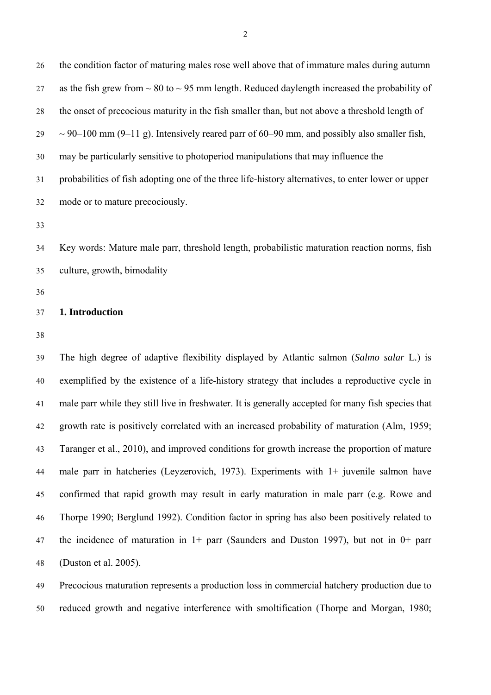26 the condition factor of maturing males rose well above that of immature males during autumn 27 as the fish grew from  $\sim 80$  to  $\sim 95$  mm length. Reduced daylength increased the probability of 28 the onset of precocious maturity in the fish smaller than, but not above a threshold length of  $29 \sim 90-100$  mm (9–11 g). Intensively reared parr of 60–90 mm, and possibly also smaller fish, 30 may be particularly sensitive to photoperiod manipulations that may influence the 31 probabilities of fish adopting one of the three life-history alternatives, to enter lower or upper 32 mode or to mature precociously.

33

34 Key words: Mature male parr, threshold length, probabilistic maturation reaction norms, fish 35 culture, growth, bimodality

36

#### 37 **1. Introduction**

38

39 The high degree of adaptive flexibility displayed by Atlantic salmon (*Salmo salar* L*.*) is 40 exemplified by the existence of a life-history strategy that includes a reproductive cycle in 41 male parr while they still live in freshwater. It is generally accepted for many fish species that 42 growth rate is positively correlated with an increased probability of maturation (Alm, 1959; 43 Taranger et al., 2010), and improved conditions for growth increase the proportion of mature 44 male parr in hatcheries (Leyzerovich, 1973). Experiments with 1+ juvenile salmon have 45 confirmed that rapid growth may result in early maturation in male parr (e.g. Rowe and 46 Thorpe 1990; Berglund 1992). Condition factor in spring has also been positively related to 47 the incidence of maturation in 1+ parr (Saunders and Duston 1997), but not in 0+ parr 48 (Duston et al. 2005).

49 Precocious maturation represents a production loss in commercial hatchery production due to 50 reduced growth and negative interference with smoltification (Thorpe and Morgan, 1980;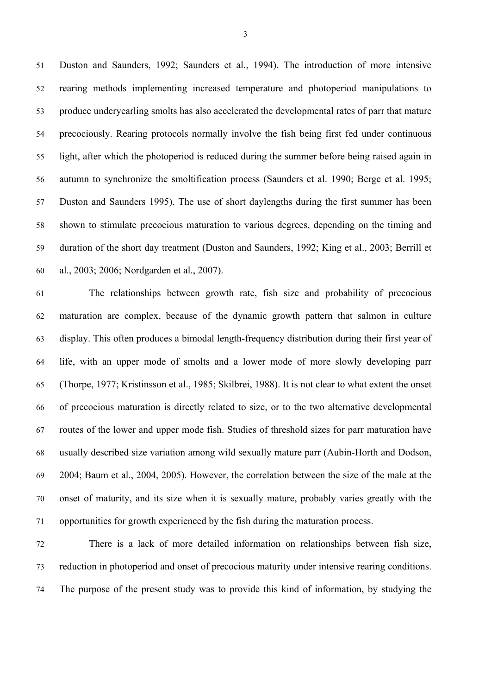51 Duston and Saunders, 1992; Saunders et al., 1994). The introduction of more intensive 52 rearing methods implementing increased temperature and photoperiod manipulations to 53 produce underyearling smolts has also accelerated the developmental rates of parr that mature 54 precociously. Rearing protocols normally involve the fish being first fed under continuous 55 light, after which the photoperiod is reduced during the summer before being raised again in 56 autumn to synchronize the smoltification process (Saunders et al. 1990; Berge et al. 1995; 57 Duston and Saunders 1995). The use of short daylengths during the first summer has been 58 shown to stimulate precocious maturation to various degrees, depending on the timing and 59 duration of the short day treatment (Duston and Saunders, 1992; King et al., 2003; Berrill et 60 al., 2003; 2006; Nordgarden et al., 2007).

61 The relationships between growth rate, fish size and probability of precocious 62 maturation are complex, because of the dynamic growth pattern that salmon in culture 63 display. This often produces a bimodal length-frequency distribution during their first year of 64 life, with an upper mode of smolts and a lower mode of more slowly developing parr 65 (Thorpe, 1977; Kristinsson et al., 1985; Skilbrei, 1988). It is not clear to what extent the onset 66 of precocious maturation is directly related to size, or to the two alternative developmental 67 routes of the lower and upper mode fish. Studies of threshold sizes for parr maturation have 68 usually described size variation among wild sexually mature parr (Aubin-Horth and Dodson, 69 2004; Baum et al., 2004, 2005). However, the correlation between the size of the male at the 70 onset of maturity, and its size when it is sexually mature, probably varies greatly with the 71 opportunities for growth experienced by the fish during the maturation process.

72 There is a lack of more detailed information on relationships between fish size, 73 reduction in photoperiod and onset of precocious maturity under intensive rearing conditions. 74 The purpose of the present study was to provide this kind of information, by studying the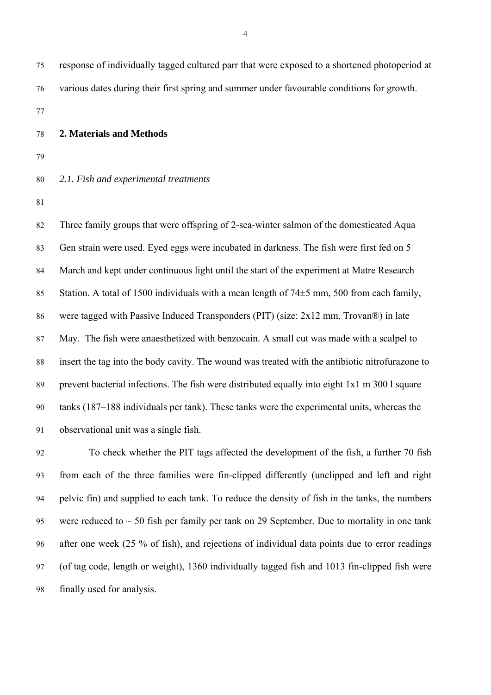75 response of individually tagged cultured parr that were exposed to a shortened photoperiod at 76 various dates during their first spring and summer under favourable conditions for growth.

77

#### 78 **2. Materials and Methods**

79

## 80 *2.1. Fish and experimental treatments*

81

82 Three family groups that were offspring of 2-sea-winter salmon of the domesticated Aqua 83 Gen strain were used. Eyed eggs were incubated in darkness. The fish were first fed on 5 84 March and kept under continuous light until the start of the experiment at Matre Research 85 Station. A total of 1500 individuals with a mean length of 74 $\pm$ 5 mm, 500 from each family, 86 were tagged with Passive Induced Transponders (PIT) (size: 2x12 mm, Trovan®) in late 87 May. The fish were anaesthetized with benzocain. A small cut was made with a scalpel to 88 insert the tag into the body cavity. The wound was treated with the antibiotic nitrofurazone to 89 prevent bacterial infections. The fish were distributed equally into eight 1x1 m 300 l square 90 tanks (187–188 individuals per tank). These tanks were the experimental units, whereas the 91 observational unit was a single fish.

92 To check whether the PIT tags affected the development of the fish, a further 70 fish 93 from each of the three families were fin-clipped differently (unclipped and left and right 94 pelvic fin) and supplied to each tank. To reduce the density of fish in the tanks, the numbers 95 were reduced to  $\sim$  50 fish per family per tank on 29 September. Due to mortality in one tank 96 after one week (25 % of fish), and rejections of individual data points due to error readings 97 (of tag code, length or weight), 1360 individually tagged fish and 1013 fin-clipped fish were 98 finally used for analysis.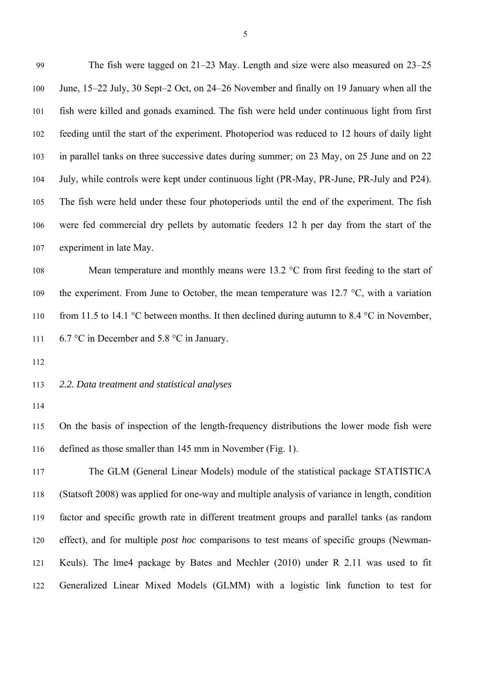99 The fish were tagged on 21–23 May. Length and size were also measured on 23–25 100 June, 15–22 July, 30 Sept–2 Oct, on 24–26 November and finally on 19 January when all the 101 fish were killed and gonads examined. The fish were held under continuous light from first 102 feeding until the start of the experiment. Photoperiod was reduced to 12 hours of daily light 103 in parallel tanks on three successive dates during summer; on 23 May, on 25 June and on 22 104 July, while controls were kept under continuous light (PR-May, PR-June, PR-July and P24). 105 The fish were held under these four photoperiods until the end of the experiment. The fish 106 were fed commercial dry pellets by automatic feeders 12 h per day from the start of the 107 experiment in late May.

108 Mean temperature and monthly means were 13.2 °C from first feeding to the start of 109 the experiment. From June to October, the mean temperature was 12.7  $\degree$ C, with a variation 110 from 11.5 to 14.1 °C between months. It then declined during autumn to 8.4 °C in November, 111 6.7 °C in December and 5.8 °C in January.

112

## 113 *2.2. Data treatment and statistical analyses*

114

115 On the basis of inspection of the length-frequency distributions the lower mode fish were 116 defined as those smaller than 145 mm in November (Fig. 1).

117 The GLM (General Linear Models) module of the statistical package STATISTICA 118 (Statsoft 2008) was applied for one-way and multiple analysis of variance in length, condition 119 factor and specific growth rate in different treatment groups and parallel tanks (as random 120 effect), and for multiple *post hoc* comparisons to test means of specific groups (Newman-121 Keuls). The lme4 package by Bates and Mechler (2010) under R 2.11 was used to fit 122 Generalized Linear Mixed Models (GLMM) with a logistic link function to test for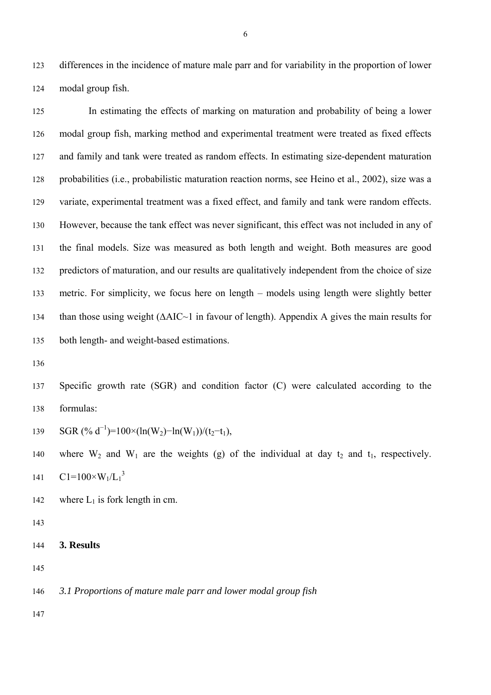123 differences in the incidence of mature male parr and for variability in the proportion of lower 124 modal group fish.

125 In estimating the effects of marking on maturation and probability of being a lower 126 modal group fish, marking method and experimental treatment were treated as fixed effects 127 and family and tank were treated as random effects. In estimating size-dependent maturation 128 probabilities (i.e., probabilistic maturation reaction norms, see Heino et al., 2002), size was a 129 variate, experimental treatment was a fixed effect, and family and tank were random effects. 130 However, because the tank effect was never significant, this effect was not included in any of 131 the final models. Size was measured as both length and weight. Both measures are good 132 predictors of maturation, and our results are qualitatively independent from the choice of size 133 metric. For simplicity, we focus here on length – models using length were slightly better 134 than those using weight  $(AAIC~1$  in favour of length). Appendix A gives the main results for 135 both length- and weight-based estimations.

136

137 Specific growth rate (SGR) and condition factor (C) were calculated according to the 138 formulas:

139 SGR (% d<sup>-1</sup>)=100×(ln(W<sub>2</sub>)-ln(W<sub>1</sub>))/(t<sub>2</sub>-t<sub>1</sub>),

140 where  $W_2$  and  $W_1$  are the weights (g) of the individual at day  $t_2$  and  $t_1$ , respectively. 141  $C1 = 100 \times W_1/L_1^3$ 

- 142 where  $L_1$  is fork length in cm.
- 143
- 144 **3. Results**
- 145

146 *3.1 Proportions of mature male parr and lower modal group fish*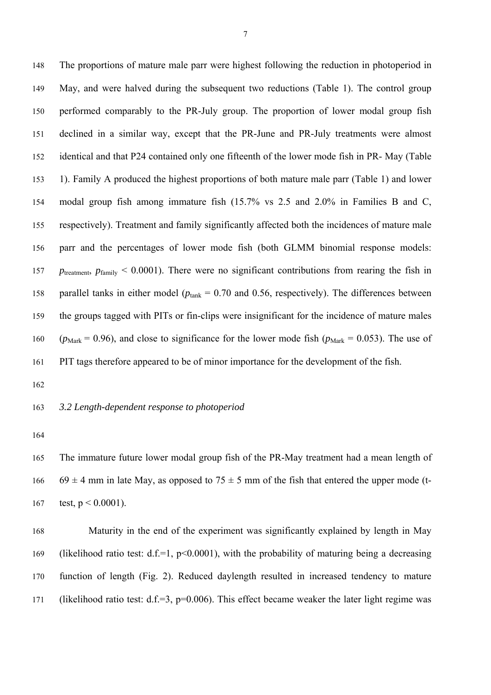148 The proportions of mature male parr were highest following the reduction in photoperiod in 149 May, and were halved during the subsequent two reductions (Table 1). The control group 150 performed comparably to the PR-July group. The proportion of lower modal group fish 151 declined in a similar way, except that the PR-June and PR-July treatments were almost 152 identical and that P24 contained only one fifteenth of the lower mode fish in PR- May (Table 153 1). Family A produced the highest proportions of both mature male parr (Table 1) and lower 154 modal group fish among immature fish (15.7% vs 2.5 and 2.0% in Families B and C, 155 respectively). Treatment and family significantly affected both the incidences of mature male 156 parr and the percentages of lower mode fish (both GLMM binomial response models: 157 *p*<sub>treatment</sub>,  $p_{\text{family}} < 0.0001$ ). There were no significant contributions from rearing the fish in 158 parallel tanks in either model ( $p_{\text{tank}} = 0.70$  and 0.56, respectively). The differences between 159 the groups tagged with PITs or fin-clips were insignificant for the incidence of mature males 160 ( $p_{\text{Mark}} = 0.96$ ), and close to significance for the lower mode fish ( $p_{\text{Mark}} = 0.053$ ). The use of 161 PIT tags therefore appeared to be of minor importance for the development of the fish.

162

## 163 *3.2 Length-dependent response to photoperiod*

164

165 The immature future lower modal group fish of the PR-May treatment had a mean length of 166 69  $\pm$  4 mm in late May, as opposed to 75  $\pm$  5 mm of the fish that entered the upper mode (t-167 test,  $p < 0.0001$ ).

168 Maturity in the end of the experiment was significantly explained by length in May 169 (likelihood ratio test: d.f.=1,  $p<0.0001$ ), with the probability of maturing being a decreasing 170 function of length (Fig. 2). Reduced daylength resulted in increased tendency to mature 171 (likelihood ratio test: d.f.=3, p=0.006). This effect became weaker the later light regime was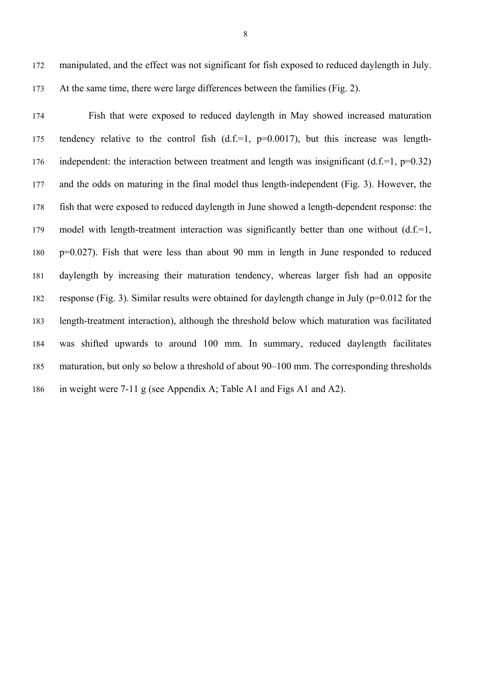172 manipulated, and the effect was not significant for fish exposed to reduced daylength in July. 173 At the same time, there were large differences between the families (Fig. 2).

174 Fish that were exposed to reduced daylength in May showed increased maturation 175 tendency relative to the control fish  $(d.f.=1, p=0.0017)$ , but this increase was length-176 independent: the interaction between treatment and length was insignificant  $(d.f.=1, p=0.32)$ 177 and the odds on maturing in the final model thus length-independent (Fig. 3). However, the 178 fish that were exposed to reduced daylength in June showed a length-dependent response: the 179 model with length-treatment interaction was significantly better than one without (d.f.=1, 180 p=0.027). Fish that were less than about 90 mm in length in June responded to reduced 181 daylength by increasing their maturation tendency, whereas larger fish had an opposite 182 response (Fig. 3). Similar results were obtained for daylength change in July (p=0.012 for the 183 length-treatment interaction), although the threshold below which maturation was facilitated 184 was shifted upwards to around 100 mm. In summary, reduced daylength facilitates 185 maturation, but only so below a threshold of about 90–100 mm. The corresponding thresholds 186 in weight were 7-11 g (see Appendix A; Table A1 and Figs A1 and A2).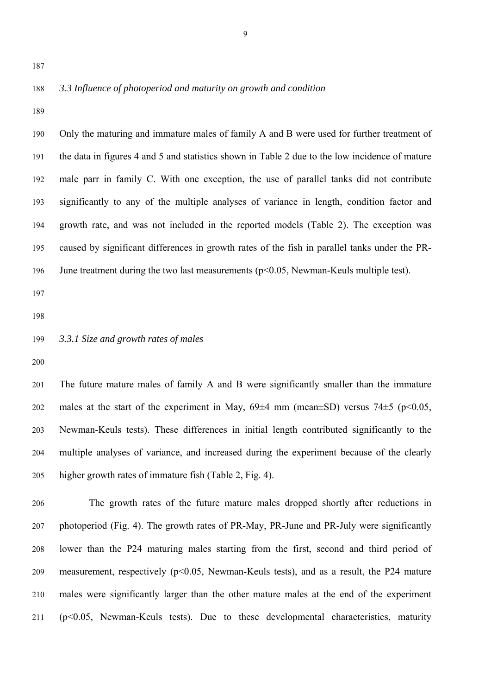#### 188 *3.3 Influence of photoperiod and maturity on growth and condition*

189

190 Only the maturing and immature males of family A and B were used for further treatment of 191 the data in figures 4 and 5 and statistics shown in Table 2 due to the low incidence of mature 192 male parr in family C. With one exception, the use of parallel tanks did not contribute 193 significantly to any of the multiple analyses of variance in length, condition factor and 194 growth rate, and was not included in the reported models (Table 2). The exception was 195 caused by significant differences in growth rates of the fish in parallel tanks under the PR-196 June treatment during the two last measurements (p<0.05, Newman-Keuls multiple test). 197 198

199 *3.3.1 Size and growth rates of males* 

200

201 The future mature males of family A and B were significantly smaller than the immature 202 males at the start of the experiment in May,  $69\pm4$  mm (mean $\pm$ SD) versus 74 $\pm$ 5 (p<0.05, 203 Newman-Keuls tests). These differences in initial length contributed significantly to the 204 multiple analyses of variance, and increased during the experiment because of the clearly 205 higher growth rates of immature fish (Table 2, Fig. 4).

206 The growth rates of the future mature males dropped shortly after reductions in 207 photoperiod (Fig. 4). The growth rates of PR-May, PR-June and PR-July were significantly 208 lower than the P24 maturing males starting from the first, second and third period of 209 measurement, respectively (p<0.05, Newman-Keuls tests), and as a result, the P24 mature 210 males were significantly larger than the other mature males at the end of the experiment 211 (p<0.05, Newman-Keuls tests). Due to these developmental characteristics, maturity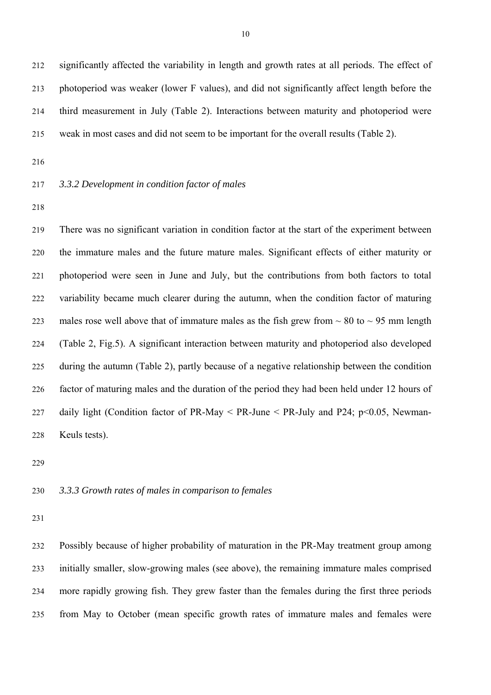212 significantly affected the variability in length and growth rates at all periods. The effect of 213 photoperiod was weaker (lower F values), and did not significantly affect length before the 214 third measurement in July (Table 2). Interactions between maturity and photoperiod were 215 weak in most cases and did not seem to be important for the overall results (Table 2).

216

#### 217 *3.3.2 Development in condition factor of males*

218

219 There was no significant variation in condition factor at the start of the experiment between 220 the immature males and the future mature males. Significant effects of either maturity or 221 photoperiod were seen in June and July, but the contributions from both factors to total 222 variability became much clearer during the autumn, when the condition factor of maturing 223 males rose well above that of immature males as the fish grew from  $\sim 80$  to  $\sim 95$  mm length 224 (Table 2, Fig.5). A significant interaction between maturity and photoperiod also developed 225 during the autumn (Table 2), partly because of a negative relationship between the condition 226 factor of maturing males and the duration of the period they had been held under 12 hours of 227 daily light (Condition factor of PR-May  $\leq$  PR-June  $\leq$  PR-July and P24; p $\leq$  0.05, Newman-228 Keuls tests).

229

### 230 *3.3.3 Growth rates of males in comparison to females*

231

232 Possibly because of higher probability of maturation in the PR-May treatment group among 233 initially smaller, slow-growing males (see above), the remaining immature males comprised 234 more rapidly growing fish. They grew faster than the females during the first three periods 235 from May to October (mean specific growth rates of immature males and females were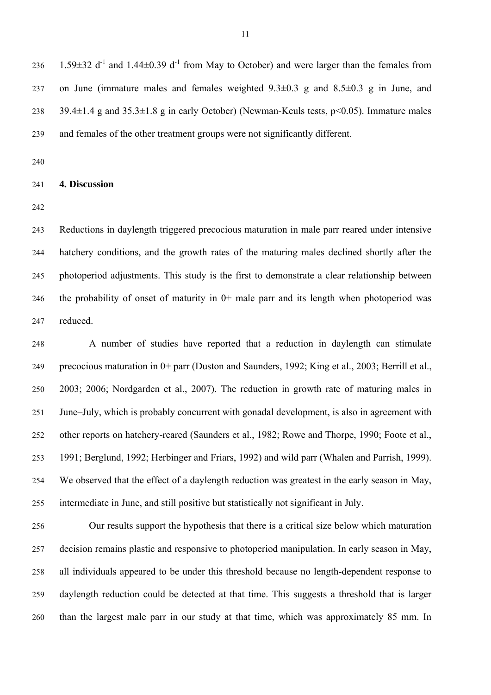236 1.59 $\pm$ 32 d<sup>-1</sup> and 1.44 $\pm$ 0.39 d<sup>-1</sup> from May to October) and were larger than the females from 237 on June (immature males and females weighted 9.3±0.3 g and 8.5±0.3 g in June, and 238 39.4±1.4 g and 35.3±1.8 g in early October) (Newman-Keuls tests, p<0.05). Immature males 239 and females of the other treatment groups were not significantly different.

240

### 241 **4. Discussion**

242

243 Reductions in daylength triggered precocious maturation in male parr reared under intensive 244 hatchery conditions, and the growth rates of the maturing males declined shortly after the 245 photoperiod adjustments. This study is the first to demonstrate a clear relationship between 246 the probability of onset of maturity in 0+ male parr and its length when photoperiod was 247 reduced.

248 A number of studies have reported that a reduction in daylength can stimulate 249 precocious maturation in 0+ parr (Duston and Saunders, 1992; King et al., 2003; Berrill et al., 250 2003; 2006; Nordgarden et al., 2007). The reduction in growth rate of maturing males in 251 June–July, which is probably concurrent with gonadal development, is also in agreement with 252 other reports on hatchery-reared (Saunders et al., 1982; Rowe and Thorpe, 1990; Foote et al., 253 1991; Berglund, 1992; Herbinger and Friars, 1992) and wild parr (Whalen and Parrish, 1999). 254 We observed that the effect of a daylength reduction was greatest in the early season in May, 255 intermediate in June, and still positive but statistically not significant in July.

256 Our results support the hypothesis that there is a critical size below which maturation 257 decision remains plastic and responsive to photoperiod manipulation. In early season in May, 258 all individuals appeared to be under this threshold because no length-dependent response to 259 daylength reduction could be detected at that time. This suggests a threshold that is larger 260 than the largest male parr in our study at that time, which was approximately 85 mm. In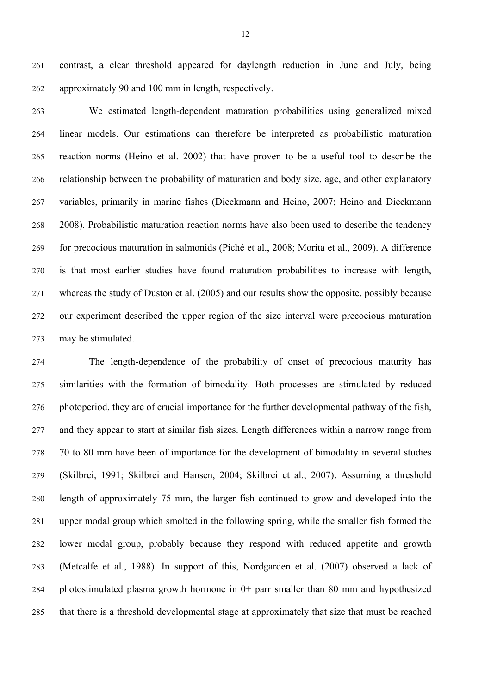261 contrast, a clear threshold appeared for daylength reduction in June and July, being 262 approximately 90 and 100 mm in length, respectively.

263 We estimated length-dependent maturation probabilities using generalized mixed 264 linear models. Our estimations can therefore be interpreted as probabilistic maturation 265 reaction norms (Heino et al. 2002) that have proven to be a useful tool to describe the 266 relationship between the probability of maturation and body size, age, and other explanatory 267 variables, primarily in marine fishes (Dieckmann and Heino, 2007; Heino and Dieckmann 268 2008). Probabilistic maturation reaction norms have also been used to describe the tendency 269 for precocious maturation in salmonids (Piché et al., 2008; Morita et al., 2009). A difference 270 is that most earlier studies have found maturation probabilities to increase with length, 271 whereas the study of Duston et al. (2005) and our results show the opposite, possibly because 272 our experiment described the upper region of the size interval were precocious maturation 273 may be stimulated.

274 The length-dependence of the probability of onset of precocious maturity has 275 similarities with the formation of bimodality. Both processes are stimulated by reduced 276 photoperiod, they are of crucial importance for the further developmental pathway of the fish, 277 and they appear to start at similar fish sizes. Length differences within a narrow range from 278 70 to 80 mm have been of importance for the development of bimodality in several studies 279 (Skilbrei, 1991; Skilbrei and Hansen, 2004; Skilbrei et al., 2007). Assuming a threshold 280 length of approximately 75 mm, the larger fish continued to grow and developed into the 281 upper modal group which smolted in the following spring, while the smaller fish formed the 282 lower modal group, probably because they respond with reduced appetite and growth 283 (Metcalfe et al., 1988)*.* In support of this, Nordgarden et al. (2007) observed a lack of 284 photostimulated plasma growth hormone in 0+ parr smaller than 80 mm and hypothesized 285 that there is a threshold developmental stage at approximately that size that must be reached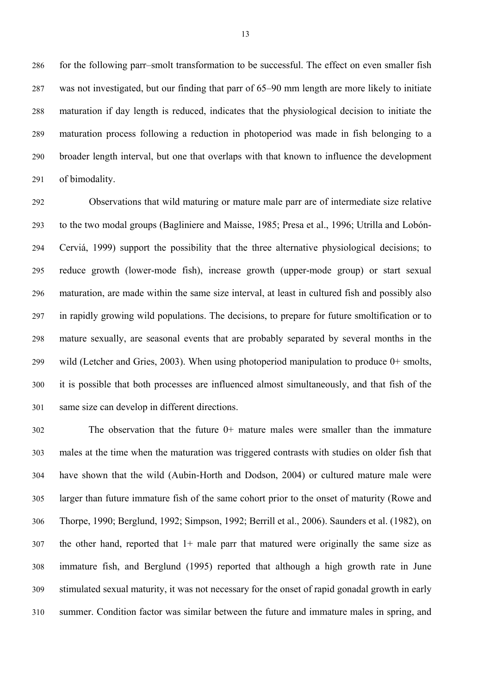286 for the following parr–smolt transformation to be successful. The effect on even smaller fish 287 was not investigated, but our finding that parr of 65–90 mm length are more likely to initiate 288 maturation if day length is reduced, indicates that the physiological decision to initiate the 289 maturation process following a reduction in photoperiod was made in fish belonging to a 290 broader length interval, but one that overlaps with that known to influence the development 291 of bimodality.

292 Observations that wild maturing or mature male parr are of intermediate size relative 293 to the two modal groups (Bagliniere and Maisse, 1985; Presa et al., 1996; Utrilla and Lobón-294 Cerviá, 1999) support the possibility that the three alternative physiological decisions; to 295 reduce growth (lower-mode fish), increase growth (upper-mode group) or start sexual 296 maturation, are made within the same size interval, at least in cultured fish and possibly also 297 in rapidly growing wild populations. The decisions, to prepare for future smoltification or to 298 mature sexually, are seasonal events that are probably separated by several months in the 299 wild (Letcher and Gries, 2003). When using photoperiod manipulation to produce 0+ smolts, 300 it is possible that both processes are influenced almost simultaneously, and that fish of the 301 same size can develop in different directions.

302 The observation that the future 0+ mature males were smaller than the immature 303 males at the time when the maturation was triggered contrasts with studies on older fish that 304 have shown that the wild (Aubin-Horth and Dodson, 2004) or cultured mature male were 305 larger than future immature fish of the same cohort prior to the onset of maturity (Rowe and 306 Thorpe, 1990; Berglund, 1992; Simpson, 1992; Berrill et al., 2006). Saunders et al. (1982), on 307 the other hand, reported that 1+ male parr that matured were originally the same size as 308 immature fish, and Berglund (1995) reported that although a high growth rate in June 309 stimulated sexual maturity, it was not necessary for the onset of rapid gonadal growth in early 310 summer. Condition factor was similar between the future and immature males in spring, and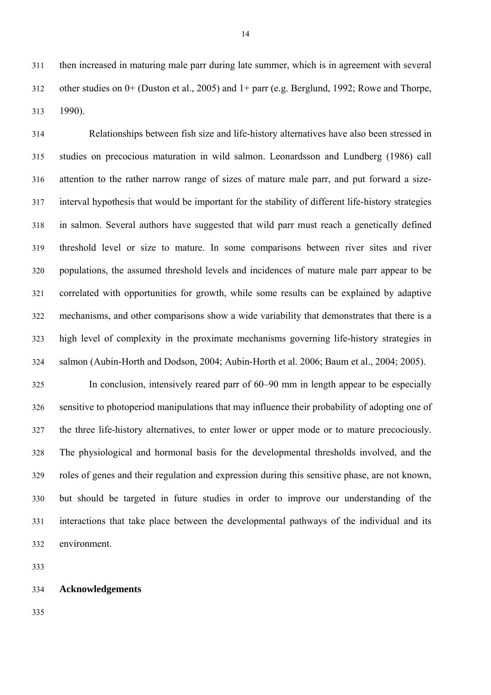311 then increased in maturing male parr during late summer, which is in agreement with several 312 other studies on 0+ (Duston et al., 2005) and 1+ parr (e.g. Berglund, 1992; Rowe and Thorpe, 313 1990).

314 Relationships between fish size and life-history alternatives have also been stressed in 315 studies on precocious maturation in wild salmon. Leonardsson and Lundberg (1986) call 316 attention to the rather narrow range of sizes of mature male parr, and put forward a size-317 interval hypothesis that would be important for the stability of different life-history strategies 318 in salmon. Several authors have suggested that wild parr must reach a genetically defined 319 threshold level or size to mature. In some comparisons between river sites and river 320 populations, the assumed threshold levels and incidences of mature male parr appear to be 321 correlated with opportunities for growth, while some results can be explained by adaptive 322 mechanisms, and other comparisons show a wide variability that demonstrates that there is a 323 high level of complexity in the proximate mechanisms governing life-history strategies in 324 salmon (Aubin-Horth and Dodson, 2004; Aubin-Horth et al. 2006; Baum et al., 2004; 2005).

325 In conclusion, intensively reared parr of 60–90 mm in length appear to be especially 326 sensitive to photoperiod manipulations that may influence their probability of adopting one of 327 the three life-history alternatives, to enter lower or upper mode or to mature precociously. 328 The physiological and hormonal basis for the developmental thresholds involved, and the 329 roles of genes and their regulation and expression during this sensitive phase, are not known, 330 but should be targeted in future studies in order to improve our understanding of the 331 interactions that take place between the developmental pathways of the individual and its 332 environment.

333

#### 334 **Acknowledgements**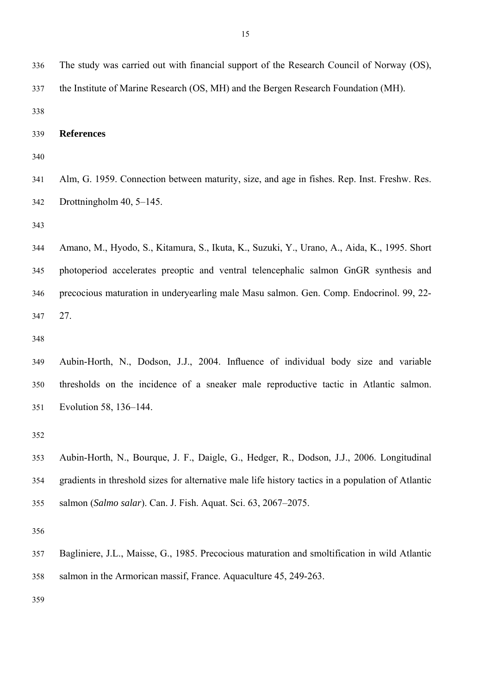336 The study was carried out with financial support of the Research Council of Norway (OS), 337 the Institute of Marine Research (OS, MH) and the Bergen Research Foundation (MH).

338

339 **References** 

340

341 Alm, G. 1959. Connection between maturity, size, and age in fishes. Rep. Inst. Freshw. Res. 342 Drottningholm 40, 5–145.

343

344 Amano, M., Hyodo, S., Kitamura, S., Ikuta, K., Suzuki, Y., Urano, A., Aida, K., 1995. Short 345 photoperiod accelerates preoptic and ventral telencephalic salmon GnGR synthesis and 346 precocious maturation in underyearling male Masu salmon. Gen. Comp. Endocrinol. 99, 22- 347 27.

348

349 Aubin-Horth, N., Dodson, J.J., 2004. Influence of individual body size and variable 350 thresholds on the incidence of a sneaker male reproductive tactic in Atlantic salmon. 351 Evolution 58, 136–144.

352

353 Aubin-Horth, N., Bourque, J. F., Daigle, G., Hedger, R., Dodson, J.J., 2006. Longitudinal 354 gradients in threshold sizes for alternative male life history tactics in a population of Atlantic 355 salmon (*Salmo salar*). Can. J. Fish. Aquat. Sci. 63, 2067–2075.

356

357 Bagliniere, J.L., Maisse, G., 1985. Precocious maturation and smoltification in wild Atlantic 358 salmon in the Armorican massif, France. Aquaculture 45, 249-263.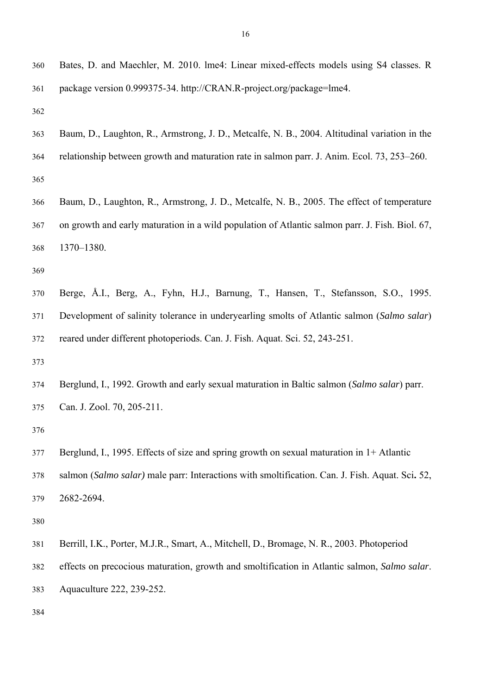360 Bates, D. and Maechler, M. 2010. lme4: Linear mixed-effects models using S4 classes. R 361 package version 0.999375-34. http://CRAN.R-project.org/package=lme4.

362

- 363 Baum, D., Laughton, R., Armstrong, J. D., Metcalfe, N. B., 2004. Altitudinal variation in the 364 relationship between growth and maturation rate in salmon parr. J. Anim. Ecol. 73, 253–260.
- 365
- 366 Baum, D., Laughton, R., Armstrong, J. D., Metcalfe, N. B., 2005. The effect of temperature 367 on growth and early maturation in a wild population of Atlantic salmon parr. J. Fish. Biol. 67, 368 1370–1380.

369

370 Berge, Å.I., Berg, A., Fyhn, H.J., Barnung, T., Hansen, T., Stefansson, S.O., 1995. 371 Development of salinity tolerance in underyearling smolts of Atlantic salmon (*Salmo salar*) 372 reared under different photoperiods. Can. J. Fish. Aquat. Sci. 52, 243-251.

373

374 Berglund, I., 1992. Growth and early sexual maturation in Baltic salmon (*Salmo salar*) parr. 375 Can. J. Zool. 70, 205-211.

376

377 Berglund, I., 1995. Effects of size and spring growth on sexual maturation in 1+ Atlantic 378 salmon (*Salmo salar)* male parr: Interactions with smoltification. Can. J. Fish. Aquat. Sci**.** 52, 379 2682-2694.

- 381 Berrill, I.K., Porter, M.J.R., Smart, A., Mitchell, D., Bromage, N. R., 2003. Photoperiod
- 382 effects on precocious maturation, growth and smoltification in Atlantic salmon, *Salmo salar*.
- 383 Aquaculture 222, 239-252.
- 384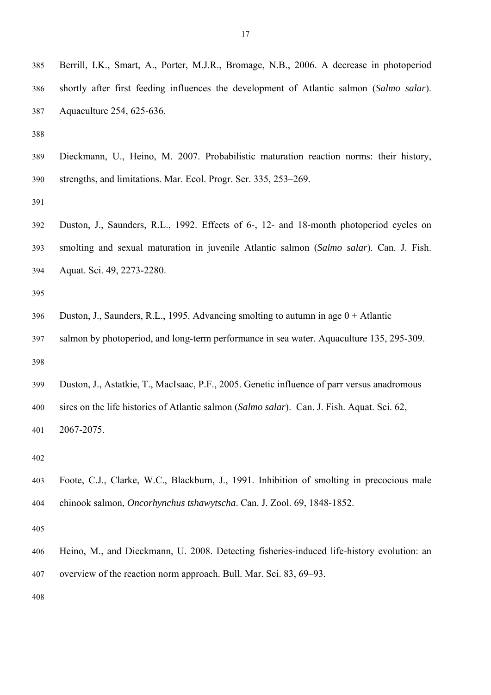- 385 Berrill, I.K., Smart, A., Porter, M.J.R., Bromage, N.B., 2006. A decrease in photoperiod 386 shortly after first feeding influences the development of Atlantic salmon (*Salmo salar*). 387 Aquaculture 254, 625-636.
- 388
- 389 Dieckmann, U., Heino, M. 2007. Probabilistic maturation reaction norms: their history, 390 strengths, and limitations. Mar. Ecol. Progr. Ser. 335, 253–269.
- 391
- 392 Duston, J., Saunders, R.L., 1992. Effects of 6-, 12- and 18-month photoperiod cycles on 393 smolting and sexual maturation in juvenile Atlantic salmon (*Salmo salar*). Can. J. Fish. 394 Aquat. Sci. 49, 2273-2280.
- 395
- 396 Duston, J., Saunders, R.L., 1995. Advancing smolting to autumn in age 0 + Atlantic
- 397 salmon by photoperiod, and long-term performance in sea water. Aquaculture 135, 295-309. 398
- 399 Duston, J., Astatkie, T., MacIsaac, P.F., 2005. Genetic influence of parr versus anadromous 400 sires on the life histories of Atlantic salmon (*Salmo salar*). Can. J. Fish. Aquat. Sci. 62, 401 2067-2075.

- 403 Foote, C.J., Clarke, W.C., Blackburn, J., 1991. Inhibition of smolting in precocious male 404 chinook salmon, *Oncorhynchus tshawytscha*. Can. J. Zool. 69, 1848-1852.
- 405
- 406 Heino, M., and Dieckmann, U. 2008. Detecting fisheries-induced life-history evolution: an 407 overview of the reaction norm approach. Bull. Mar. Sci. 83, 69–93.
- 408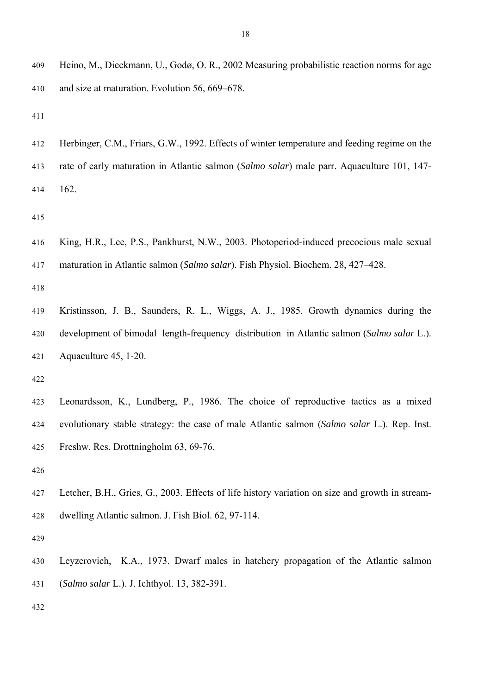- 412 Herbinger, C.M., Friars, G.W., 1992. Effects of winter temperature and feeding regime on the
- 413 rate of early maturation in Atlantic salmon (*Salmo salar*) male parr. Aquaculture 101, 147- 414 162.

415

416 King, H.R., Lee, P.S., Pankhurst, N.W., 2003. Photoperiod-induced precocious male sexual 417 maturation in Atlantic salmon (*Salmo salar*). Fish Physiol. Biochem. 28, 427–428.

418

419 Kristinsson, J. B., Saunders, R. L., Wiggs, A. J., 1985. Growth dynamics during the 420 development of bimodal length-frequency distribution in Atlantic salmon (*Salmo salar* L.). 421 Aquaculture 45, 1-20.

- 423 Leonardsson, K., Lundberg, P., 1986. The choice of reproductive tactics as a mixed 424 evolutionary stable strategy: the case of male Atlantic salmon (*Salmo salar* L.). Rep. Inst. 425 Freshw. Res. Drottningholm 63, 69-76.
- 426
- 427 Letcher, B.H., Gries, G., 2003. Effects of life history variation on size and growth in stream-428 dwelling Atlantic salmon. J. Fish Biol. 62, 97-114.
- 429
- 430 Leyzerovich, K.A., 1973. Dwarf males in hatchery propagation of the Atlantic salmon 431 (*Salmo salar* L.). J. Ichthyol. 13, 382-391.
- 432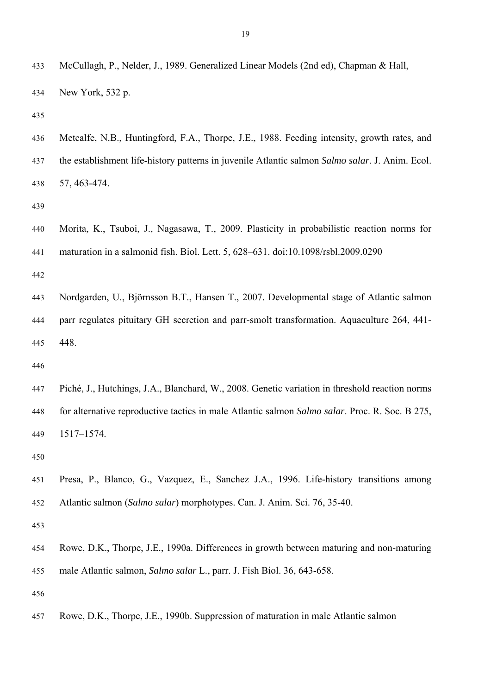| 434 | New York, $532$ p.                                                                                      |
|-----|---------------------------------------------------------------------------------------------------------|
| 435 |                                                                                                         |
| 436 | Metcalfe, N.B., Huntingford, F.A., Thorpe, J.E., 1988. Feeding intensity, growth rates, and             |
| 437 | the establishment life-history patterns in juvenile Atlantic salmon <i>Salmo salar</i> . J. Anim. Ecol. |
| 438 | 57, 463-474.                                                                                            |
| 439 |                                                                                                         |
|     |                                                                                                         |

433 McCullagh, P., Nelder, J., 1989. Generalized Linear Models (2nd ed), Chapman & Hall,

440 Morita, K., Tsuboi, J., Nagasawa, T., 2009. Plasticity in probabilistic reaction norms for 441 maturation in a salmonid fish. Biol. Lett. 5, 628–631. doi:10.1098/rsbl.2009.0290

442

443 Nordgarden, U., Björnsson B.T., Hansen T., 2007. Developmental stage of Atlantic salmon 444 parr regulates pituitary GH secretion and parr-smolt transformation. Aquaculture 264, 441- 445 448.

446

447 Piché, J., Hutchings, J.A., Blanchard, W., 2008. Genetic variation in threshold reaction norms 448 for alternative reproductive tactics in male Atlantic salmon *Salmo salar*. Proc. R. Soc. B 275, 449 1517–1574.

450

451 Presa, P., Blanco, G., Vazquez, E., Sanchez J.A., 1996. Life-history transitions among 452 Atlantic salmon (*Salmo salar*) morphotypes. Can. J. Anim. Sci. 76, 35-40.

453

454 Rowe, D.K., Thorpe, J.E., 1990a. Differences in growth between maturing and non-maturing 455 male Atlantic salmon, *Salmo salar* L., parr. J. Fish Biol. 36, 643-658.

456

457 Rowe, D.K., Thorpe, J.E., 1990b. Suppression of maturation in male Atlantic salmon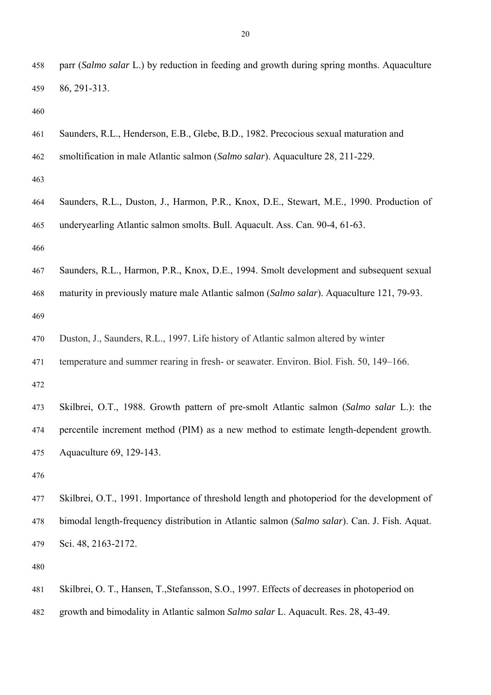- 458 parr (*Salmo salar* L.) by reduction in feeding and growth during spring months. Aquaculture 459 86, 291-313.
- 460
- 461 Saunders, R.L., Henderson, E.B., Glebe, B.D., 1982. Precocious sexual maturation and
- 462 smoltification in male Atlantic salmon (*Salmo salar*). Aquaculture 28, 211-229.
- 463
- 464 Saunders, R.L., Duston, J., Harmon, P.R., Knox, D.E., Stewart, M.E., 1990. Production of 465 underyearling Atlantic salmon smolts. Bull. Aquacult. Ass. Can. 90-4, 61-63.
- 466
- 467 Saunders, R.L., Harmon, P.R., Knox, D.E., 1994. Smolt development and subsequent sexual 468 maturity in previously mature male Atlantic salmon (*Salmo salar*). Aquaculture 121, 79-93.
- 469

470 Duston, J., Saunders, R.L., 1997. Life history of Atlantic salmon altered by winter

471 temperature and summer rearing in fresh- or seawater. Environ. Biol. Fish. 50, 149–166.

472

473 Skilbrei, O.T., 1988. Growth pattern of pre-smolt Atlantic salmon (*Salmo salar* L.): the 474 percentile increment method (PIM) as a new method to estimate length-dependent growth. 475 Aquaculture 69, 129-143.

476

477 Skilbrei, O.T., 1991. Importance of threshold length and photoperiod for the development of 478 bimodal length-frequency distribution in Atlantic salmon (*Salmo salar*). Can. J. Fish. Aquat. 479 Sci. 48, 2163-2172.

- 481 Skilbrei, O. T., Hansen, T.,Stefansson, S.O., 1997. Effects of decreases in photoperiod on
- 482 growth and bimodality in Atlantic salmon *Salmo salar* L. Aquacult. Res. 28, 43-49.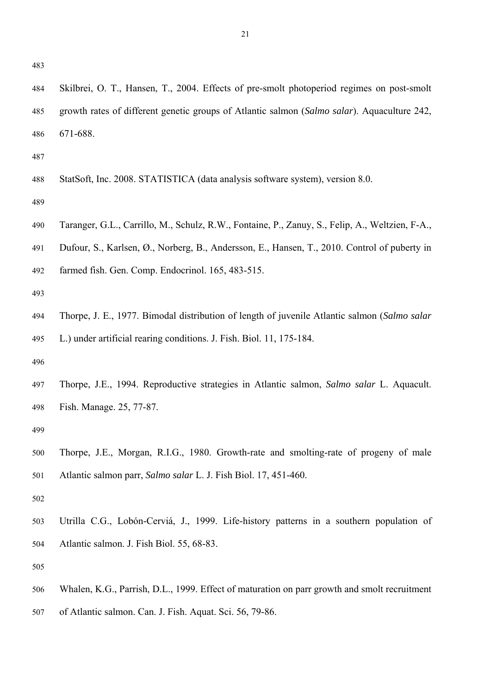484 Skilbrei, O. T., Hansen, T., 2004. Effects of pre-smolt photoperiod regimes on post-smolt 485 growth rates of different genetic groups of Atlantic salmon (*Salmo salar*). Aquaculture 242, 486 671-688.

487

488 StatSoft, Inc. 2008. STATISTICA (data analysis software system), version 8.0.

489

- 490 Taranger, G.L., Carrillo, M., Schulz, R.W., Fontaine, P., Zanuy, S., Felip, A., Weltzien, F-A.,
- 491 Dufour, S., Karlsen, Ø., Norberg, B., Andersson, E., Hansen, T., 2010. Control of puberty in
- 492 farmed fish. Gen. Comp. Endocrinol. 165, 483-515.

493

494 Thorpe, J. E., 1977. Bimodal distribution of length of juvenile Atlantic salmon (*Salmo salar* 495 L.) under artificial rearing conditions. J. Fish. Biol. 11, 175-184.

496

497 Thorpe, J.E., 1994. Reproductive strategies in Atlantic salmon, *Salmo salar* L. Aquacult. 498 Fish. Manage. 25, 77-87.

499

500 Thorpe, J.E., Morgan, R.I.G., 1980. Growth-rate and smolting-rate of progeny of male 501 Atlantic salmon parr, *Salmo salar* L. J. Fish Biol. 17, 451-460.

502

503 Utrilla C.G., Lobón-Cerviá, J., 1999. Life-history patterns in a southern population of 504 Atlantic salmon. J. Fish Biol. 55, 68-83.

- 506 Whalen, K.G., Parrish, D.L., 1999. Effect of maturation on parr growth and smolt recruitment
- 507 of Atlantic salmon. Can. J. Fish. Aquat. Sci. 56, 79-86.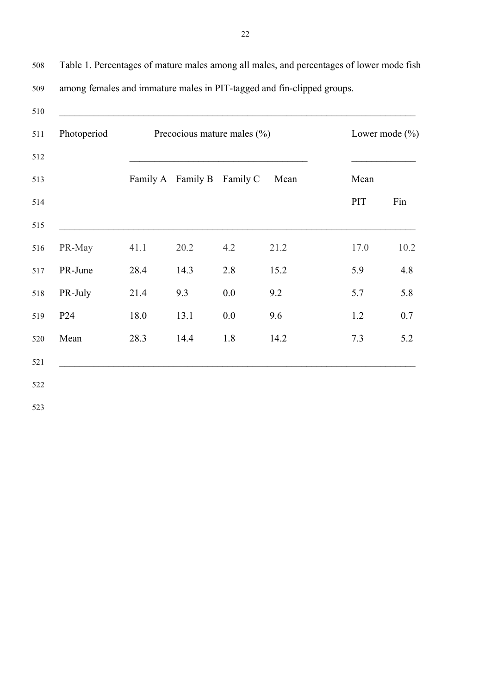510 511 Photoperiod Precocious mature males (%) Lower mode (%)  $512$ 513 Family A Family B Family C Mean Mean 514 **PIT** Fin  $515$   $\qquad \qquad$ 516 PR-May 41.1 20.2 4.2 21.2 17.0 10.2 517 PR-June 28.4 14.3 2.8 15.2 5.9 4.8 518 PR-July 21.4 9.3 0.0 9.2 5.7 5.8 519 P24 18.0 13.1 0.0 9.6 1.2 0.7 520 Mean 28.3 14.4 1.8 14.2 7.3 5.2  $521$   $\Box$ 522

508 Table 1. Percentages of mature males among all males, and percentages of lower mode fish 509 among females and immature males in PIT-tagged and fin-clipped groups.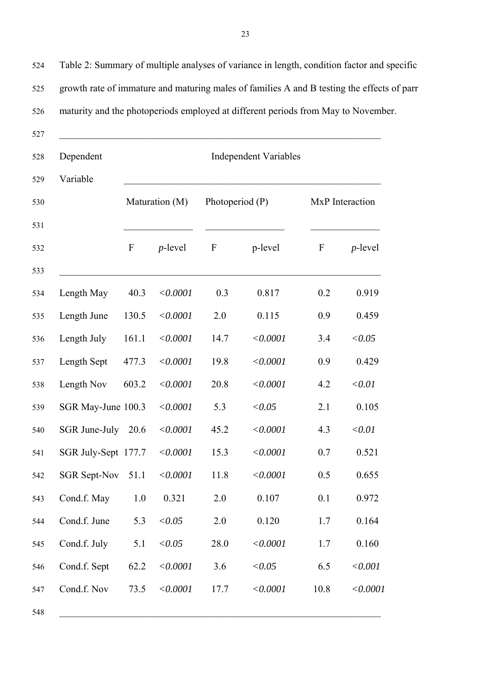524 Table 2: Summary of multiple analyses of variance in length, condition factor and specific 525 growth rate of immature and maturing males of families A and B testing the effects of parr 526 maturity and the photoperiods employed at different periods from May to November.

| Dependent           | <b>Independent Variables</b> |            |                  |          |                  |            |  |  |
|---------------------|------------------------------|------------|------------------|----------|------------------|------------|--|--|
| Variable            | Maturation (M)               |            | Photoperiod (P)  |          | MxP Interaction  |            |  |  |
|                     | $\boldsymbol{F}$             | $p$ -level | $\boldsymbol{F}$ | p-level  | $\boldsymbol{F}$ | $p$ -level |  |  |
| Length May          | 40.3                         | < 0.0001   | 0.3              | 0.817    | 0.2              | 0.919      |  |  |
| Length June         | 130.5                        | < 0.0001   | 2.0              | 0.115    | 0.9              | 0.459      |  |  |
| Length July         | 161.1                        | < 0.0001   | 14.7             | < 0.0001 | 3.4              | < 0.05     |  |  |
| Length Sept         | 477.3                        | < 0.0001   | 19.8             | < 0.0001 | 0.9              | 0.429      |  |  |
| Length Nov          | 603.2                        | < 0.0001   | 20.8             | < 0.0001 | 4.2              | < 0.01     |  |  |
| SGR May-June 100.3  |                              | < 0.0001   | 5.3              | < 0.05   | 2.1              | 0.105      |  |  |
| SGR June-July       | 20.6                         | < 0.0001   | 45.2             | < 0.0001 | 4.3              | < 0.01     |  |  |
| SGR July-Sept 177.7 |                              | < 0.0001   | 15.3             | < 0.0001 | 0.7              | 0.521      |  |  |
| <b>SGR Sept-Nov</b> | 51.1                         | < 0.0001   | 11.8             | < 0.0001 | 0.5              | 0.655      |  |  |
| Cond.f. May         | 1.0                          | 0.321      | 2.0              | 0.107    | 0.1              | 0.972      |  |  |
| Cond.f. June        | 5.3                          | < 0.05     | 2.0              | 0.120    | 1.7              | 0.164      |  |  |
| Cond.f. July        | 5.1                          | < 0.05     | 28.0             | < 0.0001 | 1.7              | 0.160      |  |  |
| Cond.f. Sept        | 62.2                         | < 0.0001   | 3.6              | < 0.05   | 6.5              | < 0.001    |  |  |
| Cond.f. Nov         | 73.5                         | < 0.0001   | 17.7             | < 0.0001 | 10.8             | < 0.0001   |  |  |
|                     |                              |            |                  |          |                  |            |  |  |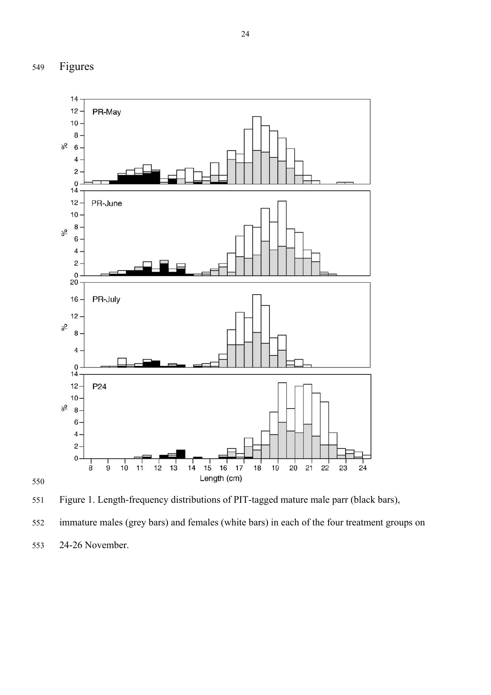



552 immature males (grey bars) and females (white bars) in each of the four treatment groups on

553 24-26 November.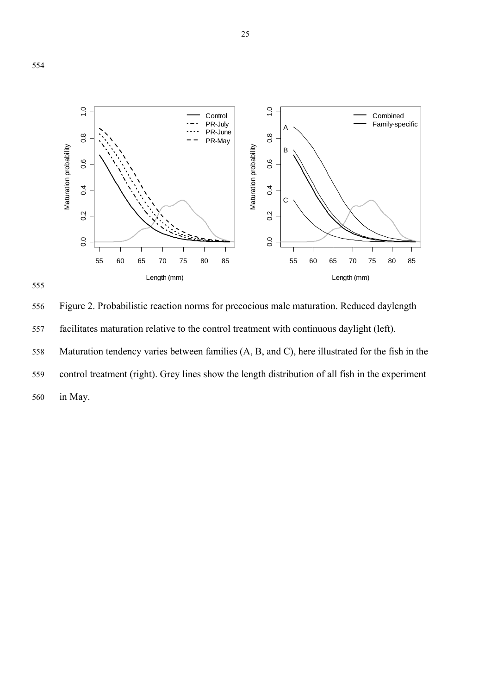



556 Figure 2. Probabilistic reaction norms for precocious male maturation. Reduced daylength 557 facilitates maturation relative to the control treatment with continuous daylight (left). 558 Maturation tendency varies between families (A, B, and C), here illustrated for the fish in the 559 control treatment (right). Grey lines show the length distribution of all fish in the experiment 560 in May.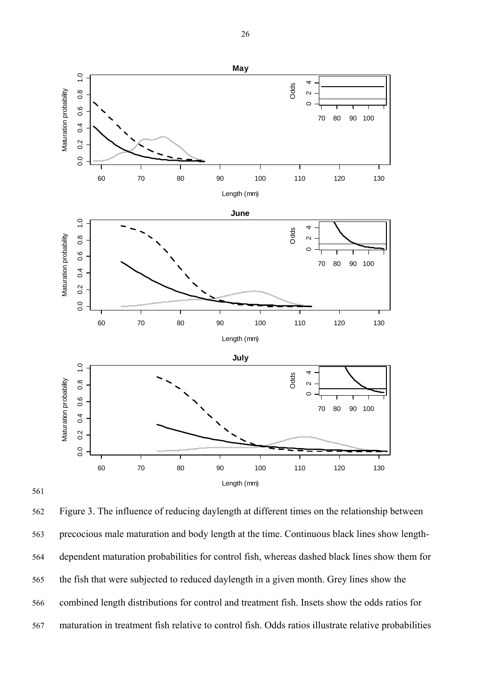

561

562 Figure 3. The influence of reducing daylength at different times on the relationship between 563 precocious male maturation and body length at the time. Continuous black lines show length-564 dependent maturation probabilities for control fish, whereas dashed black lines show them for 565 the fish that were subjected to reduced daylength in a given month. Grey lines show the 566 combined length distributions for control and treatment fish. Insets show the odds ratios for 567 maturation in treatment fish relative to control fish. Odds ratios illustrate relative probabilities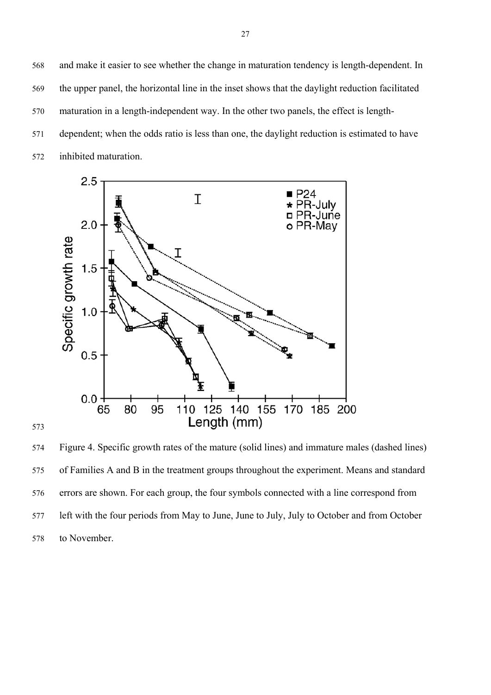568 and make it easier to see whether the change in maturation tendency is length-dependent. In 569 the upper panel, the horizontal line in the inset shows that the daylight reduction facilitated 570 maturation in a length-independent way. In the other two panels, the effect is length-571 dependent; when the odds ratio is less than one, the daylight reduction is estimated to have 572 inhibited maturation.



574 Figure 4. Specific growth rates of the mature (solid lines) and immature males (dashed lines) 575 of Families A and B in the treatment groups throughout the experiment. Means and standard 576 errors are shown. For each group, the four symbols connected with a line correspond from 577 left with the four periods from May to June, June to July, July to October and from October 578 to November.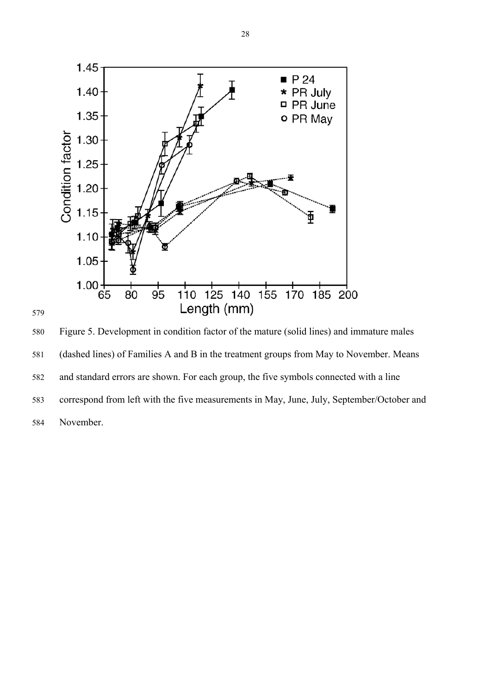

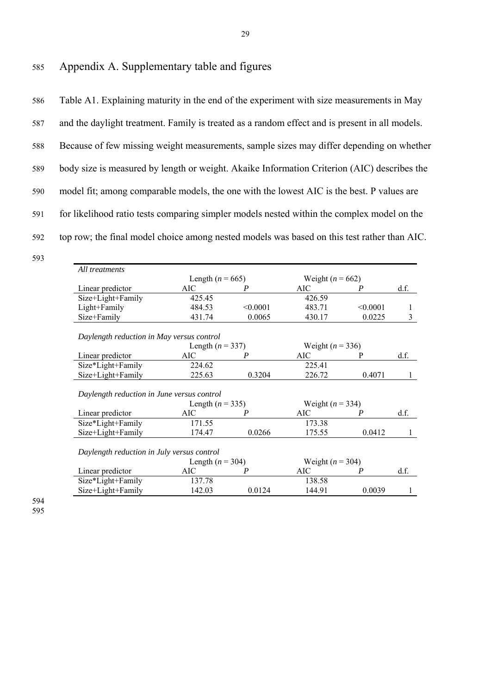586 Table A1. Explaining maturity in the end of the experiment with size measurements in May 587 and the daylight treatment. Family is treated as a random effect and is present in all models. 588 Because of few missing weight measurements, sample sizes may differ depending on whether 589 body size is measured by length or weight. Akaike Information Criterion (AIC) describes the 590 model fit; among comparable models, the one with the lowest AIC is the best. P values are 591 for likelihood ratio tests comparing simpler models nested within the complex model on the 592 top row; the final model choice among nested models was based on this test rather than AIC.

| All treatments                             |                      |                  |                      |          |      |  |  |  |  |
|--------------------------------------------|----------------------|------------------|----------------------|----------|------|--|--|--|--|
|                                            | Length ( $n = 665$ ) |                  | Weight ( $n = 662$ ) |          |      |  |  |  |  |
| Linear predictor                           | AIC                  | P                | AIC                  | P        | df.  |  |  |  |  |
| Size+Light+Family                          | 425.45               |                  | 426.59               |          |      |  |  |  |  |
| Light+Family                               | 484.53               | < 0.0001         | 483.71               | < 0.0001 | 1    |  |  |  |  |
| Size+Family                                | 431.74               | 0.0065           | 430.17               | 0.0225   | 3    |  |  |  |  |
| Daylength reduction in May versus control  |                      |                  |                      |          |      |  |  |  |  |
|                                            | Weight ( $n = 336$ ) |                  |                      |          |      |  |  |  |  |
| Linear predictor                           | AIC                  | P                | AIC                  | P        | d.f. |  |  |  |  |
| Size*Light+Family                          | 224.62               |                  | 225.41               |          |      |  |  |  |  |
| Size+Light+Family                          | 225.63               | 0.3204           | 226.72               | 0.4071   | 1    |  |  |  |  |
| Daylength reduction in June versus control |                      |                  |                      |          |      |  |  |  |  |
|                                            | Length $(n = 335)$   |                  | Weight ( $n = 334$ ) |          |      |  |  |  |  |
| Linear predictor                           | AIC                  | P                | AIC                  | P        | df.  |  |  |  |  |
| Size*Light+Family                          | 171.55               |                  | 173.38               |          |      |  |  |  |  |
| Size+Light+Family                          | 174.47               | 0.0266           | 175.55               | 0.0412   | 1    |  |  |  |  |
| Daylength reduction in July versus control |                      |                  |                      |          |      |  |  |  |  |
|                                            | Length $(n = 304)$   |                  | Weight ( $n = 304$ ) |          |      |  |  |  |  |
| Linear predictor                           | <b>AIC</b>           | $\boldsymbol{P}$ | AIC                  | P        | d.f. |  |  |  |  |
| Size*Light+Family                          | 137.78               |                  | 138.58               |          |      |  |  |  |  |
| Size+Light+Family                          | 142.03               | 0.0124           | 144.91               | 0.0039   | 1    |  |  |  |  |
|                                            |                      |                  |                      |          |      |  |  |  |  |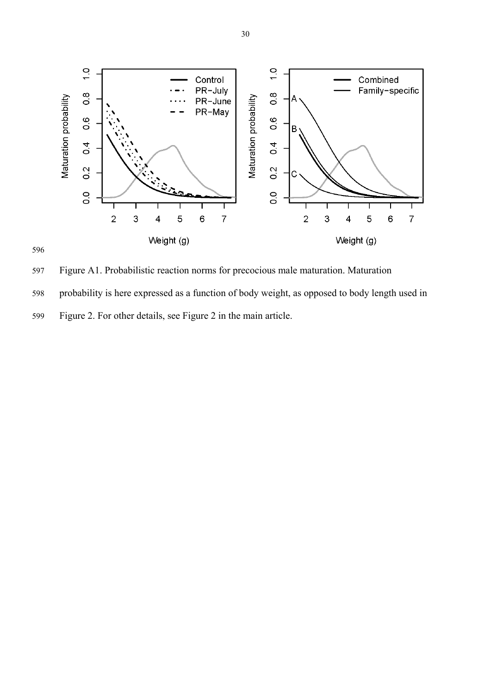

596

597 Figure A1. Probabilistic reaction norms for precocious male maturation. Maturation

598 probability is here expressed as a function of body weight, as opposed to body length used in

599 Figure 2. For other details, see Figure 2 in the main article.